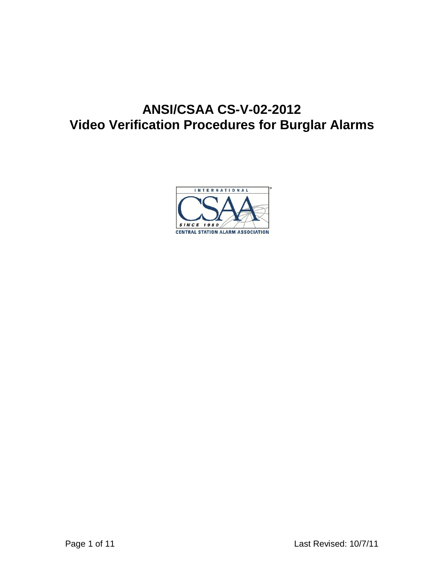# **ANSI/CSAA CS-V-02-2012 Video Verification Procedures for Burglar Alarms**

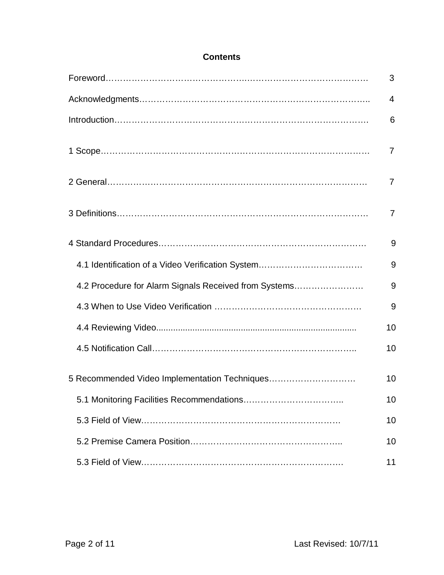|                                                       | 3              |
|-------------------------------------------------------|----------------|
|                                                       | 4              |
|                                                       | 6              |
|                                                       | 7              |
|                                                       | 7              |
|                                                       | $\overline{7}$ |
|                                                       | 9              |
| 4.1 Identification of a Video Verification System     | 9              |
| 4.2 Procedure for Alarm Signals Received from Systems | 9              |
|                                                       | 9              |
|                                                       | 10             |
|                                                       | 10             |
| 5 Recommended Video Implementation Techniques         | 10             |
|                                                       | 10             |
|                                                       | 10             |
|                                                       | 10             |
|                                                       | 11             |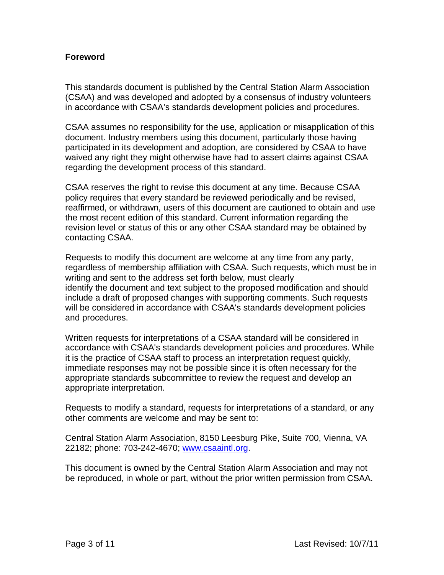## **Foreword**

This standards document is published by the Central Station Alarm Association (CSAA) and was developed and adopted by a consensus of industry volunteers in accordance with CSAA's standards development policies and procedures.

CSAA assumes no responsibility for the use, application or misapplication of this document. Industry members using this document, particularly those having participated in its development and adoption, are considered by CSAA to have waived any right they might otherwise have had to assert claims against CSAA regarding the development process of this standard.

CSAA reserves the right to revise this document at any time. Because CSAA policy requires that every standard be reviewed periodically and be revised, reaffirmed, or withdrawn, users of this document are cautioned to obtain and use the most recent edition of this standard. Current information regarding the revision level or status of this or any other CSAA standard may be obtained by contacting CSAA.

Requests to modify this document are welcome at any time from any party, regardless of membership affiliation with CSAA. Such requests, which must be in writing and sent to the address set forth below, must clearly identify the document and text subject to the proposed modification and should include a draft of proposed changes with supporting comments. Such requests will be considered in accordance with CSAA's standards development policies and procedures.

Written requests for interpretations of a CSAA standard will be considered in accordance with CSAA's standards development policies and procedures. While it is the practice of CSAA staff to process an interpretation request quickly, immediate responses may not be possible since it is often necessary for the appropriate standards subcommittee to review the request and develop an appropriate interpretation.

Requests to modify a standard, requests for interpretations of a standard, or any other comments are welcome and may be sent to:

Central Station Alarm Association, 8150 Leesburg Pike, Suite 700, Vienna, VA 22182; phone: 703-242-4670; [www.csaaintl.org.](http://www.csaaintl.org/)

This document is owned by the Central Station Alarm Association and may not be reproduced, in whole or part, without the prior written permission from CSAA.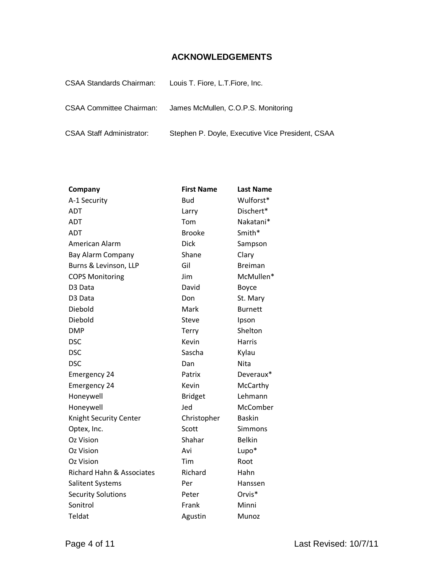## **ACKNOWLEDGEMENTS**

| <b>CSAA Standards Chairman:</b>  | Louis T. Fiore, L.T. Fiore, Inc.                 |
|----------------------------------|--------------------------------------------------|
| <b>CSAA Committee Chairman:</b>  | James McMullen, C.O.P.S. Monitoring              |
| <b>CSAA Staff Administrator:</b> | Stephen P. Doyle, Executive Vice President, CSAA |

| Company                   | <b>First Name</b> | <b>Last Name</b> |
|---------------------------|-------------------|------------------|
| A-1 Security              | Bud               | Wulforst*        |
| <b>ADT</b>                | Larry             | Dischert*        |
| ADT                       | Tom               | Nakatani*        |
| <b>ADT</b>                | <b>Brooke</b>     | Smith*           |
| American Alarm            | <b>Dick</b>       | Sampson          |
| Bay Alarm Company         | Shane             | Clary            |
| Burns & Levinson, LLP     | Gil               | <b>Breiman</b>   |
| <b>COPS Monitoring</b>    | Jim               | McMullen*        |
| D <sub>3</sub> Data       | David             | <b>Boyce</b>     |
| D <sub>3</sub> Data       | Don               | St. Mary         |
| Diebold                   | Mark              | <b>Burnett</b>   |
| Diebold                   | Steve             | Ipson            |
| <b>DMP</b>                | Terry             | Shelton          |
| <b>DSC</b>                | Kevin             | <b>Harris</b>    |
| <b>DSC</b>                | Sascha            | Kylau            |
| <b>DSC</b>                | Dan               | Nita             |
| <b>Emergency 24</b>       | Patrix            | Deveraux*        |
| <b>Emergency 24</b>       | Kevin             | McCarthy         |
| Honeywell                 | <b>Bridget</b>    | Lehmann          |
| Honeywell                 | Jed               | McComber         |
| Knight Security Center    | Christopher       | <b>Baskin</b>    |
| Optex, Inc.               | Scott             | Simmons          |
| Oz Vision                 | Shahar            | <b>Belkin</b>    |
| Oz Vision                 | Avi               | Lupo*            |
| Oz Vision                 | Tim               | Root             |
| Richard Hahn & Associates | Richard           | Hahn             |
| Salitent Systems          | Per               | Hanssen          |
| <b>Security Solutions</b> | Peter             | Orvis*           |
| Sonitrol                  | Frank             | Minni            |
| Teldat                    | Agustin           | Munoz            |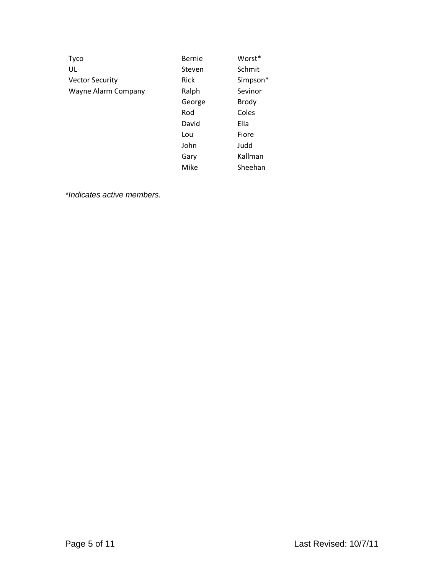| <b>Tyco</b>            | Bernie | Worst*       |
|------------------------|--------|--------------|
| UL                     | Steven | Schmit       |
| <b>Vector Security</b> | Rick   | Simpson*     |
| Wayne Alarm Company    | Ralph  | Sevinor      |
|                        | George | <b>Brody</b> |
|                        | Rod    | Coles        |
|                        | David  | Ella         |
|                        | Lou    | Fiore        |
|                        | John   | Judd         |
|                        | Gary   | Kallman      |
|                        | Mike   | Sheehan      |

*\*Indicates active members.*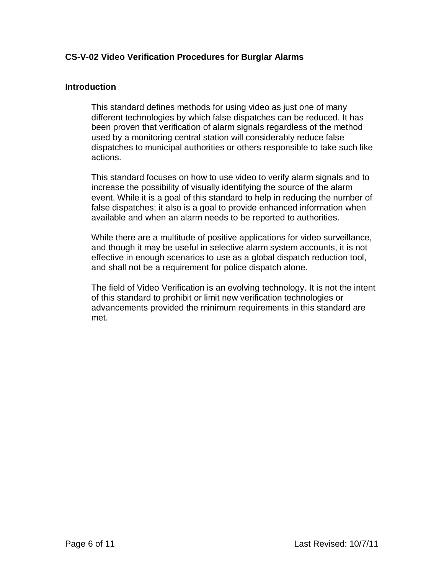## **CS-V-02 Video Verification Procedures for Burglar Alarms**

#### **Introduction**

This standard defines methods for using video as just one of many different technologies by which false dispatches can be reduced. It has been proven that verification of alarm signals regardless of the method used by a monitoring central station will considerably reduce false dispatches to municipal authorities or others responsible to take such like actions.

This standard focuses on how to use video to verify alarm signals and to increase the possibility of visually identifying the source of the alarm event. While it is a goal of this standard to help in reducing the number of false dispatches; it also is a goal to provide enhanced information when available and when an alarm needs to be reported to authorities.

While there are a multitude of positive applications for video surveillance, and though it may be useful in selective alarm system accounts, it is not effective in enough scenarios to use as a global dispatch reduction tool, and shall not be a requirement for police dispatch alone.

The field of Video Verification is an evolving technology. It is not the intent of this standard to prohibit or limit new verification technologies or advancements provided the minimum requirements in this standard are met.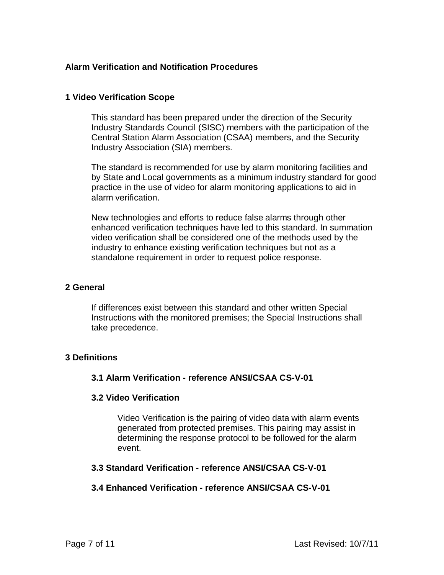## **Alarm Verification and Notification Procedures**

#### **1 Video Verification Scope**

This standard has been prepared under the direction of the Security Industry Standards Council (SISC) members with the participation of the Central Station Alarm Association (CSAA) members, and the Security Industry Association (SIA) members.

The standard is recommended for use by alarm monitoring facilities and by State and Local governments as a minimum industry standard for good practice in the use of video for alarm monitoring applications to aid in alarm verification.

New technologies and efforts to reduce false alarms through other enhanced verification techniques have led to this standard. In summation video verification shall be considered one of the methods used by the industry to enhance existing verification techniques but not as a standalone requirement in order to request police response.

#### **2 General**

If differences exist between this standard and other written Special Instructions with the monitored premises; the Special Instructions shall take precedence.

## **3 Definitions**

## **3.1 Alarm Verification - reference ANSI/CSAA CS-V-01**

#### **3.2 Video Verification**

Video Verification is the pairing of video data with alarm events generated from protected premises. This pairing may assist in determining the response protocol to be followed for the alarm event.

#### **3.3 Standard Verification - reference ANSI/CSAA CS-V-01**

## **3.4 Enhanced Verification - reference ANSI/CSAA CS-V-01**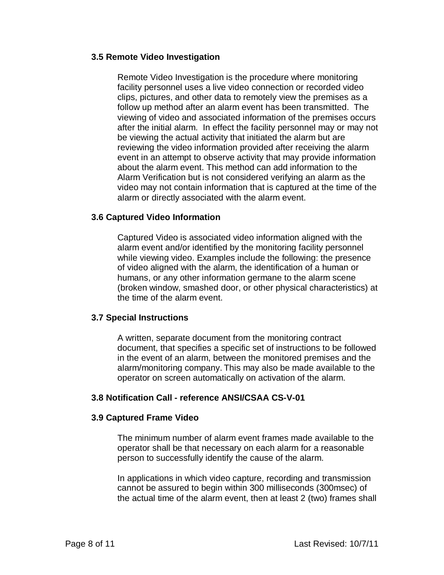#### **3.5 Remote Video Investigation**

Remote Video Investigation is the procedure where monitoring facility personnel uses a live video connection or recorded video clips, pictures, and other data to remotely view the premises as a follow up method after an alarm event has been transmitted. The viewing of video and associated information of the premises occurs after the initial alarm. In effect the facility personnel may or may not be viewing the actual activity that initiated the alarm but are reviewing the video information provided after receiving the alarm event in an attempt to observe activity that may provide information about the alarm event. This method can add information to the Alarm Verification but is not considered verifying an alarm as the video may not contain information that is captured at the time of the alarm or directly associated with the alarm event.

## **3.6 Captured Video Information**

Captured Video is associated video information aligned with the alarm event and/or identified by the monitoring facility personnel while viewing video. Examples include the following: the presence of video aligned with the alarm, the identification of a human or humans, or any other information germane to the alarm scene (broken window, smashed door, or other physical characteristics) at the time of the alarm event.

#### **3.7 Special Instructions**

A written, separate document from the monitoring contract document, that specifies a specific set of instructions to be followed in the event of an alarm, between the monitored premises and the alarm/monitoring company. This may also be made available to the operator on screen automatically on activation of the alarm.

## **3.8 Notification Call - reference ANSI/CSAA CS-V-01**

## **3.9 Captured Frame Video**

The minimum number of alarm event frames made available to the operator shall be that necessary on each alarm for a reasonable person to successfully identify the cause of the alarm.

In applications in which video capture, recording and transmission cannot be assured to begin within 300 milliseconds (300msec) of the actual time of the alarm event, then at least 2 (two) frames shall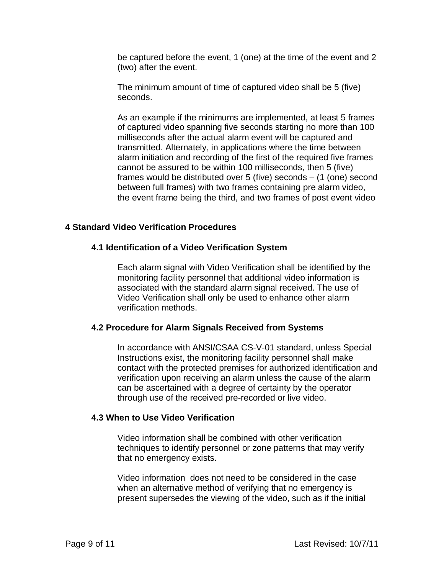be captured before the event, 1 (one) at the time of the event and 2 (two) after the event.

The minimum amount of time of captured video shall be 5 (five) seconds.

As an example if the minimums are implemented, at least 5 frames of captured video spanning five seconds starting no more than 100 milliseconds after the actual alarm event will be captured and transmitted. Alternately, in applications where the time between alarm initiation and recording of the first of the required five frames cannot be assured to be within 100 milliseconds, then 5 (five) frames would be distributed over 5 (five) seconds – (1 (one) second between full frames) with two frames containing pre alarm video, the event frame being the third, and two frames of post event video

## **4 Standard Video Verification Procedures**

## **4.1 Identification of a Video Verification System**

Each alarm signal with Video Verification shall be identified by the monitoring facility personnel that additional video information is associated with the standard alarm signal received. The use of Video Verification shall only be used to enhance other alarm verification methods.

## **4.2 Procedure for Alarm Signals Received from Systems**

In accordance with ANSI/CSAA CS-V-01 standard, unless Special Instructions exist, the monitoring facility personnel shall make contact with the protected premises for authorized identification and verification upon receiving an alarm unless the cause of the alarm can be ascertained with a degree of certainty by the operator through use of the received pre-recorded or live video.

## **4.3 When to Use Video Verification**

Video information shall be combined with other verification techniques to identify personnel or zone patterns that may verify that no emergency exists.

Video information does not need to be considered in the case when an alternative method of verifying that no emergency is present supersedes the viewing of the video, such as if the initial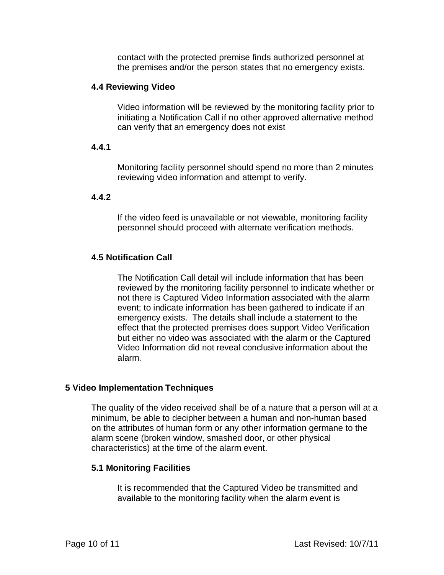contact with the protected premise finds authorized personnel at the premises and/or the person states that no emergency exists.

#### **4.4 Reviewing Video**

Video information will be reviewed by the monitoring facility prior to initiating a Notification Call if no other approved alternative method can verify that an emergency does not exist

#### **4.4.1**

Monitoring facility personnel should spend no more than 2 minutes reviewing video information and attempt to verify.

## **4.4.2**

If the video feed is unavailable or not viewable, monitoring facility personnel should proceed with alternate verification methods.

## **4.5 Notification Call**

The Notification Call detail will include information that has been reviewed by the monitoring facility personnel to indicate whether or not there is Captured Video Information associated with the alarm event; to indicate information has been gathered to indicate if an emergency exists. The details shall include a statement to the effect that the protected premises does support Video Verification but either no video was associated with the alarm or the Captured Video Information did not reveal conclusive information about the alarm.

## **5 Video Implementation Techniques**

The quality of the video received shall be of a nature that a person will at a minimum, be able to decipher between a human and non-human based on the attributes of human form or any other information germane to the alarm scene (broken window, smashed door, or other physical characteristics) at the time of the alarm event.

#### **5.1 Monitoring Facilities**

It is recommended that the Captured Video be transmitted and available to the monitoring facility when the alarm event is